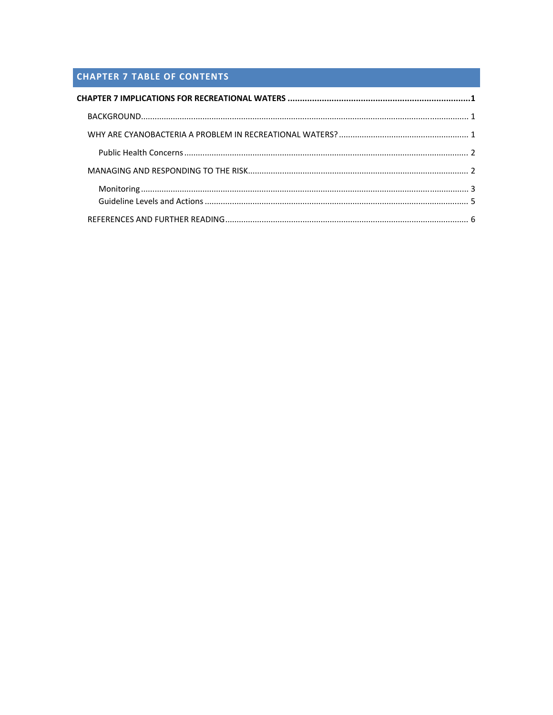# **CHAPTER 7 TABLE OF CONTENTS**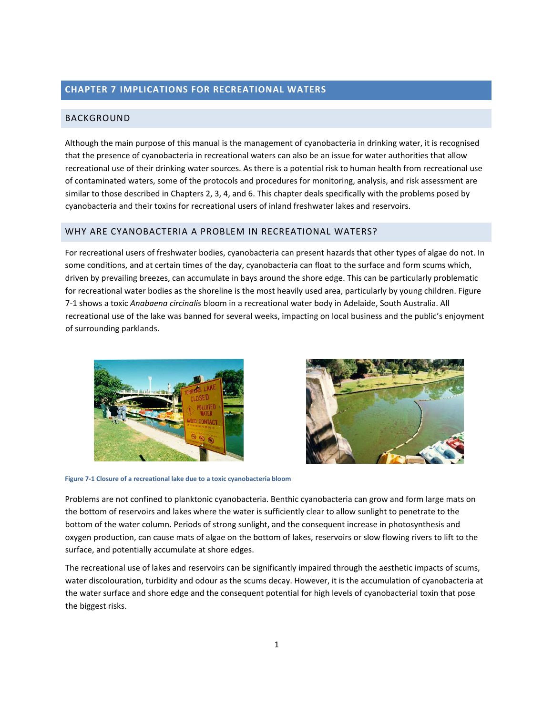# <span id="page-1-0"></span>**CHAPTER 7 IMPLICATIONS FOR RECREATIONAL WATERS**

### BACKGROUND

Although the main purpose of this manual is the management of cyanobacteria in drinking water, it is recognised that the presence of cyanobacteria in recreational waters can also be an issue for water authorities that allow recreational use of their drinking water sources. As there is a potential risk to human health from recreational use of contaminated waters, some of the protocols and procedures for monitoring, analysis, and risk assessment are similar to those described in Chapters 2, 3, 4, and 6. This chapter deals specifically with the problems posed by cyanobacteria and their toxins for recreational users of inland freshwater lakes and reservoirs.

## WHY ARE CYANOBACTERIA A PROBLEM IN RECREATIONAL WATERS?

For recreational users of freshwater bodies, cyanobacteria can present hazards that other types of algae do not. In some conditions, and at certain times of the day, cyanobacteria can float to the surface and form scums which, driven by prevailing breezes, can accumulate in bays around the shore edge. This can be particularly problematic for recreational water bodies as the shoreline is the most heavily used area, particularly by young children. [Figure](#page-1-1) [7](#page-1-1)‐1 shows a toxic *Anabaena circinalis* bloom in a recreational water body in Adelaide, South Australia. All recreational use of the lake was banned for several weeks, impacting on local business and the public's enjoyment of surrounding parklands.





**Figure 7‐1 Closure of a recreational lake due to a toxic cyanobacteria bloom**

<span id="page-1-1"></span>Problems are not confined to planktonic cyanobacteria. Benthic cyanobacteria can grow and form large mats on the bottom of reservoirs and lakes where the water is sufficiently clear to allow sunlight to penetrate to the bottom of the water column. Periods of strong sunlight, and the consequent increase in photosynthesis and oxygen production, can cause mats of algae on the bottom of lakes, reservoirs or slow flowing rivers to lift to the surface, and potentially accumulate at shore edges.

The recreational use of lakes and reservoirs can be significantly impaired through the aesthetic impacts of scums, water discolouration, turbidity and odour as the scums decay. However, it is the accumulation of cyanobacteria at the water surface and shore edge and the consequent potential for high levels of cyanobacterial toxin that pose the biggest risks.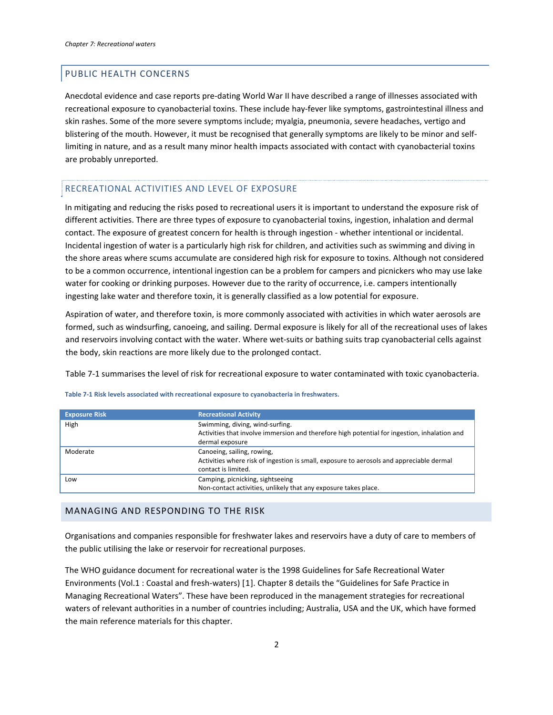## <span id="page-2-0"></span>PUBLIC HEALTH CONCERNS

Anecdotal evidence and case reports pre‐dating World War II have described a range of illnesses associated with recreational exposure to cyanobacterial toxins. These include hay‐fever like symptoms, gastrointestinal illness and skin rashes. Some of the more severe symptoms include; myalgia, pneumonia, severe headaches, vertigo and blistering of the mouth. However, it must be recognised that generally symptoms are likely to be minor and selflimiting in nature, and as a result many minor health impacts associated with contact with cyanobacterial toxins are probably unreported.

# RECREATIONAL ACTIVITIES AND LEVEL OF EXPOSURE

In mitigating and reducing the risks posed to recreational users it is important to understand the exposure risk of different activities. There are three types of exposure to cyanobacterial toxins, ingestion, inhalation and dermal contact. The exposure of greatest concern for health is through ingestion ‐ whether intentional or incidental. Incidental ingestion of water is a particularly high risk for children, and activities such as swimming and diving in the shore areas where scums accumulate are considered high risk for exposure to toxins. Although not considered to be a common occurrence, intentional ingestion can be a problem for campers and picnickers who may use lake water for cooking or drinking purposes. However due to the rarity of occurrence, i.e. campers intentionally ingesting lake water and therefore toxin, it is generally classified as a low potential for exposure.

Aspiration of water, and therefore toxin, is more commonly associated with activities in which water aerosols are formed, such as windsurfing, canoeing, and sailing. Dermal exposure is likely for all of the recreational uses of lakes and reservoirs involving contact with the water. Where wet-suits or bathing suits trap cyanobacterial cells against the body, skin reactions are more likely due to the prolonged contact.

[Table](#page-2-1) 7‐1 summarises the level of risk for recreational exposure to water contaminated with toxic cyanobacteria.

| <b>Exposure Risk</b> | <b>Recreational Activity</b>                                                                 |  |
|----------------------|----------------------------------------------------------------------------------------------|--|
| High                 | Swimming, diving, wind-surfing.                                                              |  |
|                      | Activities that involve immersion and therefore high potential for ingestion, inhalation and |  |
|                      | dermal exposure                                                                              |  |
| Moderate             | Canoeing, sailing, rowing,                                                                   |  |
|                      | Activities where risk of ingestion is small, exposure to aerosols and appreciable dermal     |  |
|                      | contact is limited.                                                                          |  |
| Low                  | Camping, picnicking, sightseeing                                                             |  |
|                      | Non-contact activities, unlikely that any exposure takes place.                              |  |

<span id="page-2-1"></span>**Table 7‐1 Risk levels associated with recreational exposure to cyanobacteria in freshwaters.**

### MANAGING AND RESPONDING TO THE RISK

Organisations and companies responsible for freshwater lakes and reservoirs have a duty of care to members of the public utilising the lake or reservoir for recreational purposes.

<span id="page-2-2"></span>The WHO guidance document for recreational water is the 1998 Guidelines for Safe Recreational Water Environments (Vol.1 : Coastal and fresh‐waters) [[1](#page-6-1)]. Chapter 8 details the "Guidelines for Safe Practice in Managing Recreational Waters". These have been reproduced in the management strategies for recreational waters of relevant authorities in a number of countries including; Australia, USA and the UK, which have formed the main reference materials for this chapter.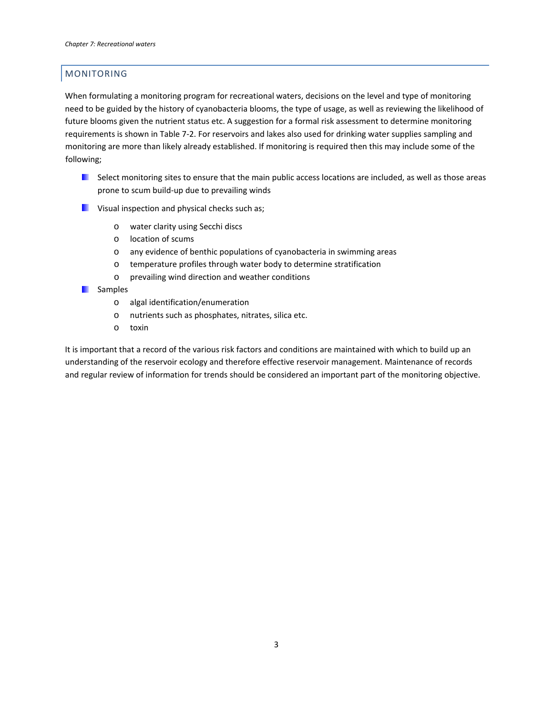# <span id="page-3-0"></span>MONITORING

When formulating a monitoring program for recreational waters, decisions on the level and type of monitoring need to be guided by the history of cyanobacteria blooms, the type of usage, as well as reviewing the likelihood of future blooms given the nutrient status etc. A suggestion for a formal risk assessment to determine monitoring requirements is shown in [Table](#page-4-0) 7‐2. For reservoirs and lakes also used for drinking water supplies sampling and monitoring are more than likely already established. If monitoring is required then this may include some of the following;

- $\blacksquare$  Select monitoring sites to ensure that the main public access locations are included, as well as those areas prone to scum build‐up due to prevailing winds
- **Visual inspection and physical checks such as;** 
	- o water clarity using Secchi discs
	- o location of scums
	- o any evidence of benthic populations of cyanobacteria in swimming areas
	- o temperature profiles through water body to determine stratification
	- o prevailing wind direction and weather conditions
- **Samples** 
	- o algal identification/enumeration
	- o nutrients such as phosphates, nitrates, silica etc.
	- o toxin

It is important that a record of the various risk factors and conditions are maintained with which to build up an understanding of the reservoir ecology and therefore effective reservoir management. Maintenance of records and regular review of information for trends should be considered an important part of the monitoring objective.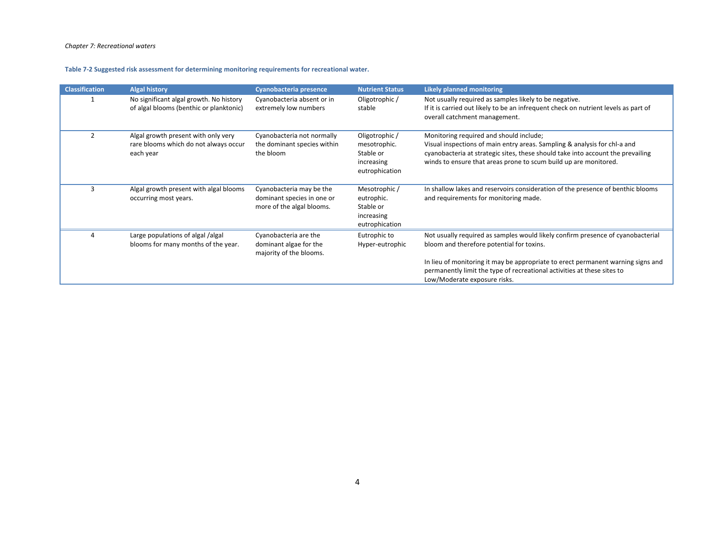**Table 7‐2 Suggested risk assessment for determining monitoring requirements for recreational water.**

<span id="page-4-0"></span>

| <b>Classification</b> | <b>Algal history</b>                                                                      | Cyanobacteria presence                                                              | <b>Nutrient Status</b>                                                      | <b>Likely planned monitoring</b>                                                                                                                                                                                                                                                                                            |
|-----------------------|-------------------------------------------------------------------------------------------|-------------------------------------------------------------------------------------|-----------------------------------------------------------------------------|-----------------------------------------------------------------------------------------------------------------------------------------------------------------------------------------------------------------------------------------------------------------------------------------------------------------------------|
|                       | No significant algal growth. No history<br>of algal blooms (benthic or planktonic)        | Cyanobacteria absent or in<br>extremely low numbers                                 | Oligotrophic /<br>stable                                                    | Not usually required as samples likely to be negative.<br>If it is carried out likely to be an infrequent check on nutrient levels as part of<br>overall catchment management.                                                                                                                                              |
| 2                     | Algal growth present with only very<br>rare blooms which do not always occur<br>each year | Cyanobacteria not normally<br>the dominant species within<br>the bloom              | Oligotrophic /<br>mesotrophic.<br>Stable or<br>increasing<br>eutrophication | Monitoring required and should include;<br>Visual inspections of main entry areas. Sampling & analysis for chl-a and<br>cyanobacteria at strategic sites, these should take into account the prevailing<br>winds to ensure that areas prone to scum build up are monitored.                                                 |
| 3                     | Algal growth present with algal blooms<br>occurring most years.                           | Cyanobacteria may be the<br>dominant species in one or<br>more of the algal blooms. | Mesotrophic /<br>eutrophic.<br>Stable or<br>increasing<br>eutrophication    | In shallow lakes and reservoirs consideration of the presence of benthic blooms<br>and requirements for monitoring made.                                                                                                                                                                                                    |
|                       | Large populations of algal /algal<br>blooms for many months of the year.                  | Cyanobacteria are the<br>dominant algae for the<br>majority of the blooms.          | Eutrophic to<br>Hyper-eutrophic                                             | Not usually required as samples would likely confirm presence of cyanobacterial<br>bloom and therefore potential for toxins.<br>In lieu of monitoring it may be appropriate to erect permanent warning signs and<br>permanently limit the type of recreational activities at these sites to<br>Low/Moderate exposure risks. |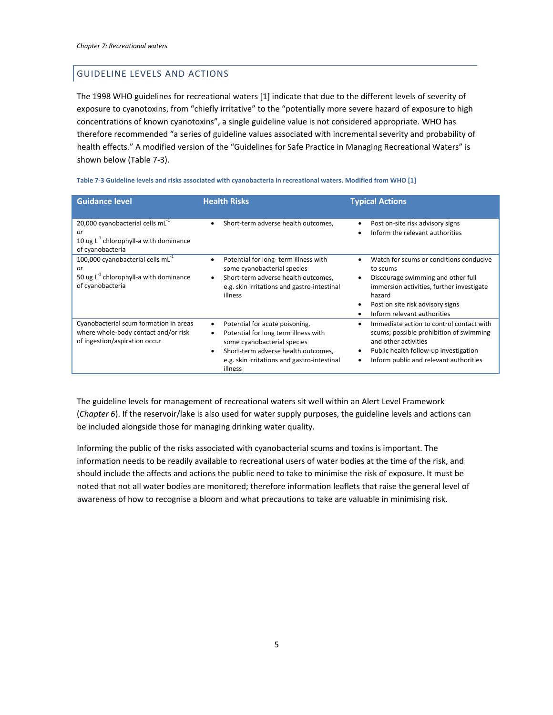# <span id="page-5-0"></span>GUIDELINE LEVELS AND ACTIONS

The 1998 WHO guidelines for recreational waters [[1\]](#page-2-2) indicate that due to the different levels of severity of exposure to cyanotoxins, from "chiefly irritative" to the "potentially more severe hazard of exposure to high concentrations of known cyanotoxins", a single guideline value is not considered appropriate. WHO has therefore recommended "a series of guideline values associated with incremental severity and probability of health effects." A modified version of the "Guidelines for Safe Practice in Managing Recreational Waters" is shown below [\(Table](#page-5-1) 7‐3).

<span id="page-5-1"></span>

| <b>Guidance level</b>                                                                                                  | <b>Health Risks</b>                                                                                                                                                                                                                   | <b>Typical Actions</b>                                                                                                                                                                                                           |
|------------------------------------------------------------------------------------------------------------------------|---------------------------------------------------------------------------------------------------------------------------------------------------------------------------------------------------------------------------------------|----------------------------------------------------------------------------------------------------------------------------------------------------------------------------------------------------------------------------------|
| 20,000 cyanobacterial cells $mL-1$<br>or<br>10 ug $L^{-1}$ chlorophyll-a with dominance<br>of cyanobacteria            | Short-term adverse health outcomes,<br>٠                                                                                                                                                                                              | Post on-site risk advisory signs<br>Inform the relevant authorities                                                                                                                                                              |
| 100,000 cyanobacterial cells mL <sup>-1</sup><br>or<br>50 ug $L^{-1}$ chlorophyll-a with dominance<br>of cyanobacteria | Potential for long-term illness with<br>some cyanobacterial species<br>Short-term adverse health outcomes,<br>e.g. skin irritations and gastro-intestinal<br>illness                                                                  | Watch for scums or conditions conducive<br>to scums<br>Discourage swimming and other full<br>$\bullet$<br>immersion activities, further investigate<br>hazard<br>Post on site risk advisory signs<br>Inform relevant authorities |
| Cyanobacterial scum formation in areas<br>where whole-body contact and/or risk<br>of ingestion/aspiration occur        | Potential for acute poisoning.<br>٠<br>Potential for long term illness with<br>$\bullet$<br>some cyanobacterial species<br>Short-term adverse health outcomes,<br>$\bullet$<br>e.g. skin irritations and gastro-intestinal<br>illness | Immediate action to control contact with<br>٠<br>scums; possible prohibition of swimming<br>and other activities<br>Public health follow-up investigation<br>Inform public and relevant authorities                              |

Table 7-3 Guideline levels and risks associated with cyanobacteria in recreational waters. Modified from WHO [\[1](#page-2-2)]

The guideline levels for management of recreational waters sit well within an Alert Level Framework (*Chapter 6*). If the reservoir/lake is also used for water supply purposes, the guideline levels and actions can be included alongside those for managing drinking water quality.

Informing the public of the risks associated with cyanobacterial scums and toxins is important. The information needs to be readily available to recreational users of water bodies at the time of the risk, and should include the affects and actions the public need to take to minimise the risk of exposure. It must be noted that not all water bodies are monitored; therefore information leaflets that raise the general level of awareness of how to recognise a bloom and what precautions to take are valuable in minimising risk.